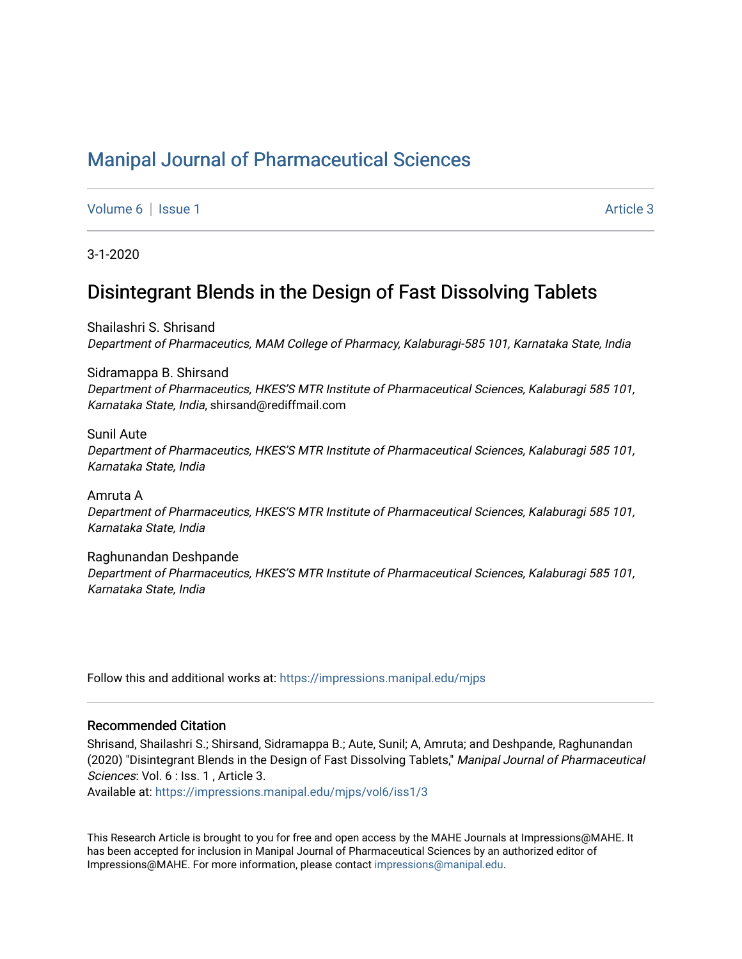# [Manipal Journal of Pharmaceutical Sciences](https://impressions.manipal.edu/mjps)

[Volume 6](https://impressions.manipal.edu/mjps/vol6) | [Issue 1](https://impressions.manipal.edu/mjps/vol6/iss1) Article 3

3-1-2020

# Disintegrant Blends in the Design of Fast Dissolving Tablets

Shailashri S. Shrisand Department of Pharmaceutics, MAM College of Pharmacy, Kalaburagi-585 101, Karnataka State, India

Sidramappa B. Shirsand Department of Pharmaceutics, HKES'S MTR Institute of Pharmaceutical Sciences, Kalaburagi 585 101, Karnataka State, India, shirsand@rediffmail.com

Sunil Aute

Department of Pharmaceutics, HKES'S MTR Institute of Pharmaceutical Sciences, Kalaburagi 585 101, Karnataka State, India

Amruta A Department of Pharmaceutics, HKES'S MTR Institute of Pharmaceutical Sciences, Kalaburagi 585 101, Karnataka State, India

Raghunandan Deshpande Department of Pharmaceutics, HKES'S MTR Institute of Pharmaceutical Sciences, Kalaburagi 585 101, Karnataka State, India

Follow this and additional works at: [https://impressions.manipal.edu/mjps](https://impressions.manipal.edu/mjps?utm_source=impressions.manipal.edu%2Fmjps%2Fvol6%2Fiss1%2F3&utm_medium=PDF&utm_campaign=PDFCoverPages)

#### Recommended Citation

Shrisand, Shailashri S.; Shirsand, Sidramappa B.; Aute, Sunil; A, Amruta; and Deshpande, Raghunandan (2020) "Disintegrant Blends in the Design of Fast Dissolving Tablets," Manipal Journal of Pharmaceutical Sciences: Vol. 6 : Iss. 1, Article 3.

Available at: [https://impressions.manipal.edu/mjps/vol6/iss1/3](https://impressions.manipal.edu/mjps/vol6/iss1/3?utm_source=impressions.manipal.edu%2Fmjps%2Fvol6%2Fiss1%2F3&utm_medium=PDF&utm_campaign=PDFCoverPages)

This Research Article is brought to you for free and open access by the MAHE Journals at Impressions@MAHE. It has been accepted for inclusion in Manipal Journal of Pharmaceutical Sciences by an authorized editor of Impressions@MAHE. For more information, please contact [impressions@manipal.edu](mailto:impressions@manipal.edu).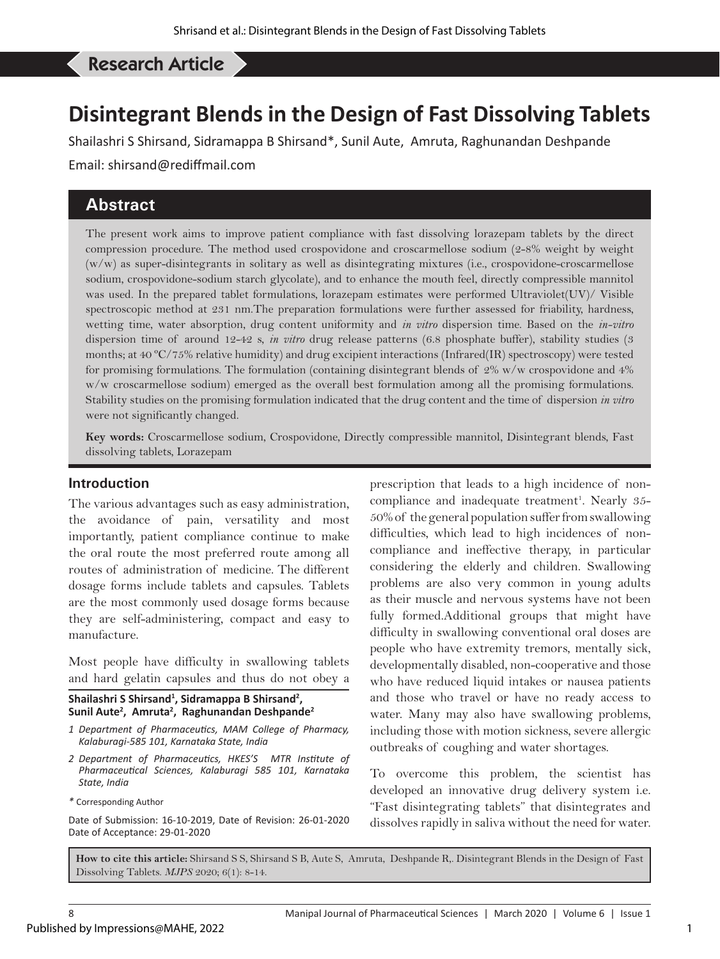# Shirsand S S, *et al*: Disintegrant Blends in the Design of Fast Dissolving Tablets Research Article

# **Disintegrant Blends in the Design of Fast Dissolving Tablets**

Shailashri S Shirsand, Sidramappa B Shirsand\*, Sunil Aute, Amruta, Raghunandan Deshpande

Email: shirsand@rediffmail.com

# **Abstract**

The present work aims to improve patient compliance with fast dissolving lorazepam tablets by the direct compression procedure. The method used crospovidone and croscarmellose sodium (2-8% weight by weight (w/w) as super-disintegrants in solitary as well as disintegrating mixtures (i.e., crospovidone-croscarmellose sodium, crospovidone-sodium starch glycolate), and to enhance the mouth feel, directly compressible mannitol was used. In the prepared tablet formulations, lorazepam estimates were performed Ultraviolet(UV)/ Visible spectroscopic method at 231 nm.The preparation formulations were further assessed for friability, hardness, wetting time, water absorption, drug content uniformity and *in vitro* dispersion time. Based on the *in-vitro* dispersion time of around 12-42 s, *in vitro* drug release patterns (6.8 phosphate buffer), stability studies (3 months; at 40 ºC/75% relative humidity) and drug excipient interactions (Infrared(IR) spectroscopy) were tested for promising formulations. The formulation (containing disintegrant blends of 2% w/w crospovidone and 4% w/w croscarmellose sodium) emerged as the overall best formulation among all the promising formulations. Stability studies on the promising formulation indicated that the drug content and the time of dispersion *in vitro* were not significantly changed.

**Key words:** Croscarmellose sodium, Crospovidone, Directly compressible mannitol, Disintegrant blends, Fast dissolving tablets, Lorazepam

#### **Introduction**

The various advantages such as easy administration, the avoidance of pain, versatility and most importantly, patient compliance continue to make the oral route the most preferred route among all routes of administration of medicine. The different dosage forms include tablets and capsules. Tablets are the most commonly used dosage forms because they are self-administering, compact and easy to manufacture.

Most people have difficulty in swallowing tablets and hard gelatin capsules and thus do not obey a

**Shailashri S Shirsand1 , Sidramappa B Shirsand2 , Sunil Aute2 , Amruta2 , Raghunandan Deshpande2**

- *1 Department of Pharmaceutics, MAM College of Pharmacy, Kalaburagi-585 101, Karnataka State, India*
- *2 Department of Pharmaceutics, HKES'S MTR Institute of Pharmaceutical Sciences, Kalaburagi 585 101, Karnataka State, India*
- *\** Corresponding Author

Date of Submission: 16-10-2019, Date of Revision: 26-01-2020 Date of Acceptance: 29-01-2020

prescription that leads to a high incidence of noncompliance and inadequate treatment<sup>1</sup>. Nearly 35-50% of the general population suffer from swallowing difficulties, which lead to high incidences of noncompliance and ineffective therapy, in particular considering the elderly and children. Swallowing problems are also very common in young adults as their muscle and nervous systems have not been fully formed.Additional groups that might have difficulty in swallowing conventional oral doses are people who have extremity tremors, mentally sick, developmentally disabled, non-cooperative and those who have reduced liquid intakes or nausea patients and those who travel or have no ready access to water. Many may also have swallowing problems, including those with motion sickness, severe allergic outbreaks of coughing and water shortages.

To overcome this problem, the scientist has developed an innovative drug delivery system i.e. "Fast disintegrating tablets" that disintegrates and dissolves rapidly in saliva without the need for water.

**How to cite this article:** Shirsand S S, Shirsand S B, Aute S, Amruta, Deshpande R,. Disintegrant Blends in the Design of Fast Dissolving Tablets. *MJPS* 2020; 6(1): 8-14.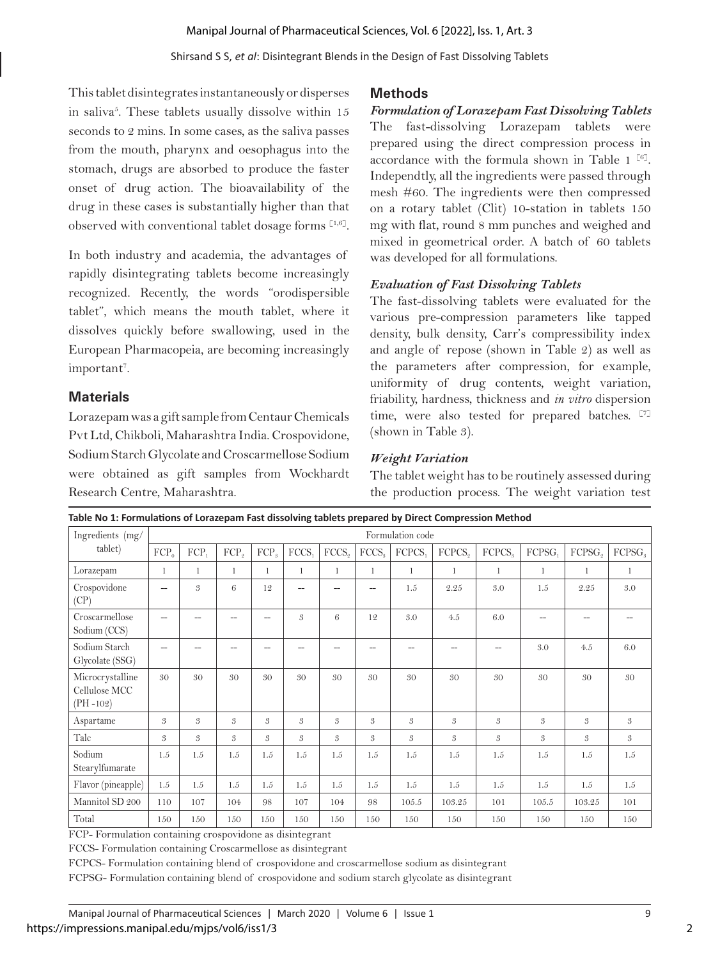#### Shirsand S S, *et al*: Disintegrant Blends in the Design of Fast Dissolving Tablets

This tablet disintegrates instantaneously or disperses in saliva<sup>5</sup>. These tablets usually dissolve within 15 seconds to 2 mins. In some cases, as the saliva passes from the mouth, pharynx and oesophagus into the stomach, drugs are absorbed to produce the faster onset of drug action. The bioavailability of the drug in these cases is substantially higher than that observed with conventional tablet dosage forms [1,6].

In both industry and academia, the advantages of rapidly disintegrating tablets become increasingly recognized. Recently, the words "orodispersible tablet", which means the mouth tablet, where it dissolves quickly before swallowing, used in the European Pharmacopeia, are becoming increasingly important<sup>7</sup>.

## **Materials**

Lorazepam was a gift sample from Centaur Chemicals Pvt Ltd, Chikboli, Maharashtra India. Crospovidone, Sodium Starch Glycolate and Croscarmellose Sodium were obtained as gift samples from Wockhardt Research Centre, Maharashtra.

### **Methods**

#### *Formulation of Lorazepam Fast Dissolving Tablets*

The fast-dissolving Lorazepam tablets were prepared using the direct compression process in accordance with the formula shown in Table 1  $[6]$ . Independtly, all the ingredients were passed through mesh #60. The ingredients were then compressed on a rotary tablet (Clit) 10-station in tablets 150 mg with flat, round 8 mm punches and weighed and mixed in geometrical order. A batch of 60 tablets was developed for all formulations.

#### *Evaluation of Fast Dissolving Tablets*

The fast-dissolving tablets were evaluated for the various pre-compression parameters like tapped density, bulk density, Carr's compressibility index and angle of repose (shown in Table 2) as well as the parameters after compression, for example, uniformity of drug contents, weight variation, friability, hardness, thickness and *in vitro* dispersion time, were also tested for prepared batches. [7] (shown in Table 3).

### *Weight Variation*

The tablet weight has to be routinely assessed during the production process. The weight variation test

| Table No 1: Formulations of Lorazepam Fast dissolving tablets prepared by Direct Compression Method |                          |                  |                  |                  |                   |                   |                   |         |                    |                    |        |                    |                    |
|-----------------------------------------------------------------------------------------------------|--------------------------|------------------|------------------|------------------|-------------------|-------------------|-------------------|---------|--------------------|--------------------|--------|--------------------|--------------------|
| Ingredients (mg/                                                                                    |                          | Formulation code |                  |                  |                   |                   |                   |         |                    |                    |        |                    |                    |
| tablet)                                                                                             | $FCP_0$                  | FCP,             | FCP <sub>o</sub> | FCP <sub>a</sub> | FCCS <sub>1</sub> | FCCS <sub>o</sub> | FCCS <sub>3</sub> | FCPCS,  | FCPCS <sub>o</sub> | FCPCS <sub>s</sub> | FCPSG, | FCPSG <sub>o</sub> | FCPSG <sub>s</sub> |
| Lorazepam                                                                                           | 1                        | $\mathbf{1}$     | $\mathbf{1}$     | 1                | $\mathbf{1}$      | 1                 | $\mathbf{1}$      | 1       | $\mathbf{1}$       | $\mathbf{1}$       | 1      | $\mathbf{1}$       | 1                  |
| Crospovidone<br>(CP)                                                                                | --                       | $\mathfrak{B}$   | 6                | 12               |                   | --                |                   | 1.5     | 2.25               | 3.0                | 1.5    | 2.25               | 3.0                |
| Croscarmellose<br>Sodium (CCS)                                                                      | $\overline{\phantom{0}}$ |                  |                  | --               | 3                 | 6                 | 12                | 3.0     | 4.5                | 6.0                |        |                    |                    |
| Sodium Starch<br>Glycolate (SSG)                                                                    | --                       |                  |                  |                  |                   |                   |                   |         |                    |                    | 3.0    | 4.5                | 6.0                |
| Microcrystalline<br>Cellulose MCC<br>$(PH - 102)$                                                   | 30                       | 30               | 30               | 30               | 30                | 30                | 30                | 30      | 30                 | 30                 | 30     | 30                 | 30                 |
| Aspartame                                                                                           | 3                        | 3                | 3                | 3                | 3                 | 3                 | 3                 | 3       | 3                  | 3                  | 3      | 3                  | 3                  |
| Talc                                                                                                | 3                        | 3                | 3                | 3                | 3                 | 3                 | 3                 | 3       | 3                  | 3                  | 3      | 3                  | 3                  |
| Sodium<br>Stearylfumarate                                                                           | 1.5                      | 1.5              | 1.5              | 1.5              | 1.5               | 1.5               | 1.5               | 1.5     | 1.5                | 1.5                | 1.5    | 1.5                | 1.5                |
| Flavor (pineapple)                                                                                  | $1.5\,$                  | 1.5              | 1.5              | 1.5              | 1.5               | 1.5               | 1.5               | $1.5\,$ | $1.5\,$            | 1.5                | 1.5    | 1.5                | $1.5\,$            |
| Mannitol SD 200                                                                                     | 110                      | 107              | 104              | 98               | 107               | 104               | 98                | 105.5   | 103.25             | 101                | 105.5  | 103.25             | 101                |
| Total                                                                                               | 150                      | 150              | 150              | 150              | 150               | 150               | 150               | 150     | 150                | 150                | 150    | 150                | 150                |

FCP- Formulation containing crospovidone as disintegrant

FCCS- Formulation containing Croscarmellose as disintegrant

FCPCS- Formulation containing blend of crospovidone and croscarmellose sodium as disintegrant

FCPSG- Formulation containing blend of crospovidone and sodium starch glycolate as disintegrant

2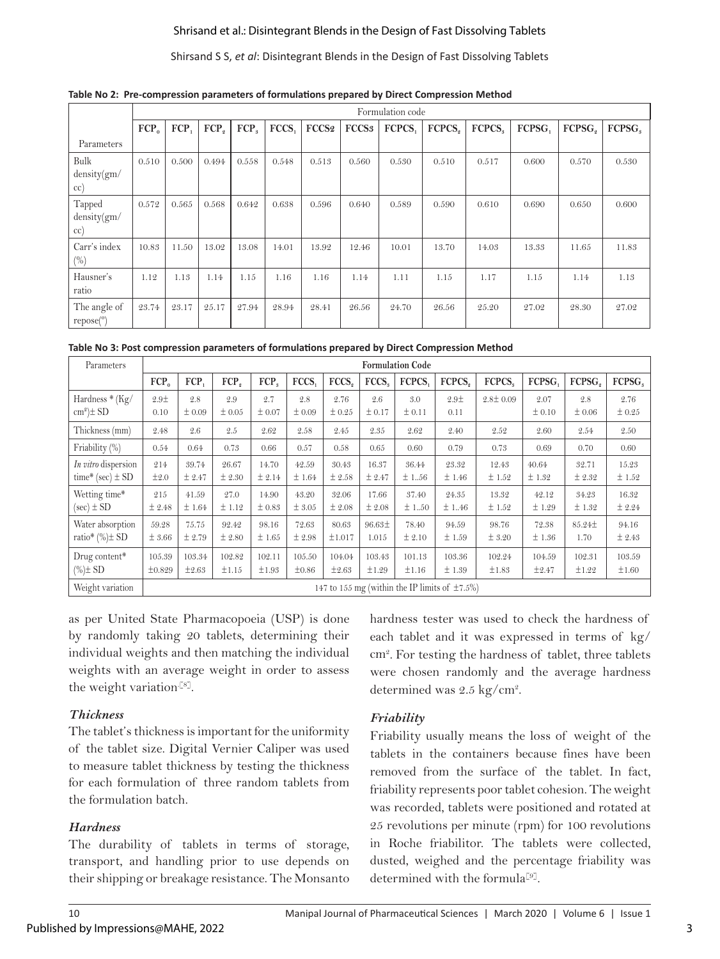#### Shrisand et al.: Disintegrant Blends in the Design of Fast Dissolving Tablets

#### Shirsand S S, *et al*: Disintegrant Blends in the Design of Fast Dissolving Tablets

|                                     |         | Formulation code |                  |                  |       |       |                   |                    |                    |        |        |                    |        |
|-------------------------------------|---------|------------------|------------------|------------------|-------|-------|-------------------|--------------------|--------------------|--------|--------|--------------------|--------|
|                                     | $FCP_0$ | FCP,             | FCP <sub>o</sub> | FCP <sub>s</sub> | FCCS. | FCCS2 | FCCS <sub>3</sub> | FCPCS <sub>1</sub> | FCPCS <sub>2</sub> | FCPCS. | FCPSG, | FCPSG <sub>o</sub> | FCPSG. |
| Parameters                          |         |                  |                  |                  |       |       |                   |                    |                    |        |        |                    |        |
| Bulk<br>density(gm/<br>$\rm cc)$    | 0.510   | 0.500            | 0.494            | 0.558            | 0.548 | 0.513 | 0.560             | 0.530              | 0.510              | 0.517  | 0.600  | 0.570              | 0.530  |
| Tapped<br>density(gm/<br>$\rm cc)$  | 0.572   | 0.565            | 0.568            | 0.642            | 0.638 | 0.596 | 0.640             | 0.589              | 0.590              | 0.610  | 0.690  | 0.650              | 0.600  |
| Carr's index<br>$(\%)$              | 10.83   | 11.50            | 13.02            | 13.08            | 14.01 | 13.92 | 12.46             | 10.01              | 13.70              | 14.03  | 13.33  | 11.65              | 11.83  |
| Hausner's<br>ratio                  | 1.12    | 1.13             | 1.14             | 1.15             | 1.16  | 1.16  | 1.14              | 1.11               | 1.15               | 1.17   | 1.15   | 1.14               | 1.13   |
| The angle of<br>repose <sup>o</sup> | 23.74   | 23.17            | 25.17            | 27.94            | 28.94 | 28.41 | 26.56             | 24.70              | 26.56              | 25.20  | 27.02  | 28.30              | 27.02  |

**Table No 2: Pre-compression parameters of formulations prepared by Direct Compression Method**

|  |  | Table No 3: Post compression parameters of formulations prepared by Direct Compression Method |  |
|--|--|-----------------------------------------------------------------------------------------------|--|
|  |  |                                                                                               |  |

| Parameters               |                                                                                                                                                                                                                 |            |                  |        |            |                   |             | <b>Formulation Code</b> |                                                                                               |                |            |                    |                    |
|--------------------------|-----------------------------------------------------------------------------------------------------------------------------------------------------------------------------------------------------------------|------------|------------------|--------|------------|-------------------|-------------|-------------------------|-----------------------------------------------------------------------------------------------|----------------|------------|--------------------|--------------------|
|                          | $FCP_0$                                                                                                                                                                                                         | FCP,       | FCP <sub>。</sub> | FCP.   | FCCS.      | FCCS <sub>a</sub> | FCCS.       | FCPCS.                  | FCPCS <sub>a</sub>                                                                            | FCPCS.         | FCPSG.     | FCPSG <sub>a</sub> | FCPSG <sub>s</sub> |
| Hardness * (Kg/          | 2.9 <pm< td=""><td>2.8</td><td>2.9</td><td>2.7</td><td>2.8</td><td>2.76</td><td>2.6</td><td>3.0</td><td>2.9<pm< td=""><td><math>2.8 \pm 0.09</math></td><td>2.07</td><td>2.8</td><td>2.76</td></pm<></td></pm<> | 2.8        | 2.9              | 2.7    | 2.8        | 2.76              | 2.6         | 3.0                     | 2.9 <pm< td=""><td><math>2.8 \pm 0.09</math></td><td>2.07</td><td>2.8</td><td>2.76</td></pm<> | $2.8 \pm 0.09$ | 2.07       | 2.8                | 2.76               |
| $\text{cm}^2$ ) $\pm$ SD | 0.10                                                                                                                                                                                                            | ±0.09      | $\pm 0.05$       | ± 0.07 | ±0.09      | $\pm 0.25$        | ± 0.17      | ± 0.11                  | 0.11                                                                                          |                | ± 0.10     | ±0.06              | ±0.25              |
| Thickness (mm)           | 2.48                                                                                                                                                                                                            | 2.6        | 2.5              | 2.62   | 2.58       | 2.45              | 2.35        | 2.62                    | 2.40                                                                                          | 2.52           | 2.60       | 2.54               | 2.50               |
| Friability (%)           | 0.54                                                                                                                                                                                                            | 0.64       | 0.73             | 0.66   | 0.57       | 0.58              | 0.65        | 0.60                    | 0.79                                                                                          | 0.73           | 0.69       | 0.70               | 0.60               |
| In vitro dispersion      | 214                                                                                                                                                                                                             | 39.74      | 26.67            | 14.70  | 42.59      | 30.43             | 16.37       | 36.44                   | 23.32                                                                                         | 12.43          | 40.64      | 32.71              | 15.23              |
| time* (sec) $\pm$ SD     | ±2.0                                                                                                                                                                                                            | ± 2.47     | ± 2.30           | ± 2.14 | ±1.64      | ± 2.58            | ± 2.47      | ± 1.56                  | ±1.46                                                                                         | ±1.52          | ±1.32      | ± 2.32             | ±1.52              |
| Wetting time*            | 215                                                                                                                                                                                                             | 41.59      | 27.0             | 14.90  | 43.20      | 32.06             | 17.66       | 37.40                   | 24.35                                                                                         | 13.32          | 42.12      | 34.23              | 16.32              |
| $(\sec) \pm SD$          | ± 2.48                                                                                                                                                                                                          | ±1.64      | ±1.12            | ±0.83  | ± 3.05     | ± 2.08            | ± 2.08      | ±1.50                   | ± 1.46                                                                                        | ±1.52          | ±1.29      | ±1.32              | ± 2.24             |
| Water absorption         | 59.28                                                                                                                                                                                                           | 75.75      | 92.42            | 98.16  | 72.63      | 80.63             | $96.63 \pm$ | 78.40                   | 94.59                                                                                         | 98.76          | 72.38      | $85.24\pm$         | 94.16              |
| ratio* $(\%) \pm SD$     | ± 3.66                                                                                                                                                                                                          | ± 2.79     | ± 2.80           | ±1.65  | ± 2.98     | ±1.017            | 1.015       | ± 2.10                  | ±1.59                                                                                         | ± 3.20         | ±1.36      | 1.70               | ± 2.43             |
| Drug content*            | 105.39                                                                                                                                                                                                          | 103.34     | 102.82           | 102.11 | 105.50     | 104.04            | 103.43      | 101.13                  | 103.36                                                                                        | 102.24         | 104.59     | 102.31             | 103.59             |
| $(\%)\pm SD$             | ±0.829                                                                                                                                                                                                          | $\pm 2.63$ | ±1.15            | ±1.93  | $\pm 0.86$ | $\pm 2.63$        | ±1.29       | ±1.16                   | ±1.39                                                                                         | ±1.83          | $\pm 2.47$ | ±1.22              | $\pm 1.60$         |
| Weight variation         |                                                                                                                                                                                                                 |            |                  |        |            |                   |             |                         | 147 to 155 mg (within the IP limits of $\pm 7.5\%$ )                                          |                |            |                    |                    |

as per United State Pharmacopoeia (USP) is done by randomly taking 20 tablets, determining their individual weights and then matching the individual weights with an average weight in order to assess the weight variation<sup>[8]</sup>.

### *Thickness*

The tablet's thickness is important for the uniformity of the tablet size. Digital Vernier Caliper was used to measure tablet thickness by testing the thickness for each formulation of three random tablets from the formulation batch.

### *Hardness*

The durability of tablets in terms of storage, transport, and handling prior to use depends on their shipping or breakage resistance. The Monsanto hardness tester was used to check the hardness of each tablet and it was expressed in terms of kg/ cm2 . For testing the hardness of tablet, three tablets were chosen randomly and the average hardness determined was 2.5 kg/cm<sup>2</sup>.

### *Friability*

Friability usually means the loss of weight of the tablets in the containers because fines have been removed from the surface of the tablet. In fact, friability represents poor tablet cohesion. The weight was recorded, tablets were positioned and rotated at 25 revolutions per minute (rpm) for 100 revolutions in Roche friabilitor. The tablets were collected, dusted, weighed and the percentage friability was determined with the formula<sup>[9]</sup>.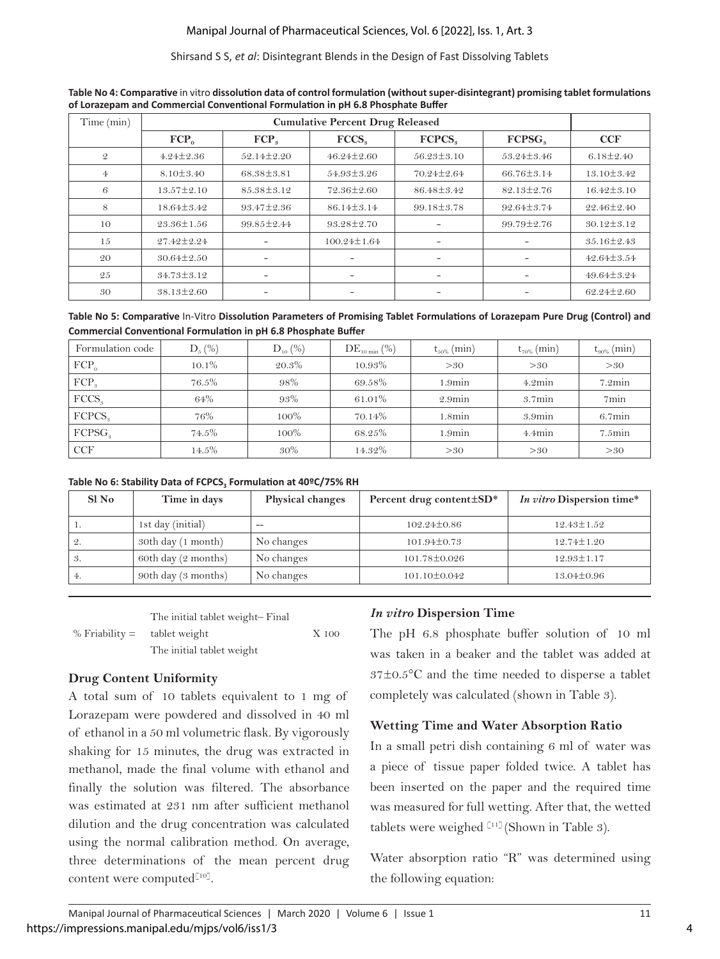#### Shirsand S S, *et al*: Disintegrant Blends in the Design of Fast Dissolving Tablets

| Time (min)     |                  |                  |                          |                          |                    |                  |
|----------------|------------------|------------------|--------------------------|--------------------------|--------------------|------------------|
|                | $FCP_0$          | FCP <sub>a</sub> | FCCS <sub>o</sub>        | FCPCS <sub>s</sub>       | FCPSG <sub>a</sub> | <b>CCF</b>       |
| $\mathfrak{D}$ | $4.24 \pm 2.36$  | $52.14 \pm 2.20$ | $46.24 \pm 2.60$         | $56.23 \pm 3.10$         | $53.24 \pm 3.46$   | $6.18 \pm 2.40$  |
| $\overline{4}$ | $8.10 \pm 3.40$  | 68.38±3.81       | 54.93±3.26               | 70.24±2.64               | 66.76±3.14         | $13.10 \pm 3.42$ |
| 6              | $13.57 \pm 2.10$ | $85.38 \pm 3.12$ | 72.36±2.60               | 86.48±3.42               | $82.13 \pm 2.76$   | $16.42 \pm 3.10$ |
| 8              | 18.64±3.42       | $93.47 \pm 2.36$ | $86.14 \pm 3.14$         | $99.18 \pm 3.78$         | 92.64±3.74         | 22.46±2.40       |
| 10             | 23.36±1.56       | 99.85 ± 2.44     | $93.28 \pm 2.70$         |                          | $99.79 \pm 2.76$   | $30.12 \pm 3.12$ |
| 15             | 27.42±2.24       |                  | $100.24 \pm 1.64$        |                          |                    | 35.16±2.43       |
| 20             | $30.64 \pm 2.50$ | -                | -                        | -                        |                    | $42.64 \pm 3.54$ |
| 25             | 34.73±3.12       | -                | $\overline{\phantom{a}}$ | $\overline{\phantom{0}}$ |                    | 49.64±3.24       |
| 30             | $38.13 \pm 2.60$ |                  |                          |                          |                    | 62.24±2.60       |

**Table No 4: Comparative** in vitro **dissolution data of control formulation (without super-disintegrant) promising tablet formulations of Lorazepam and Commercial Conventional Formulation in pH 6.8 Phosphate Buffer**

**Table No 5: Comparative** In-Vitro **Dissolution Parameters of Promising Tablet Formulations of Lorazepam Pure Drug (Control) and Commercial Conventional Formulation in pH 6.8 Phosphate Buffer**

| Formulation code   | $D_5$ (%) | $D_{10}$ (%) | $DE_{10 \min}$ (%) | $t_{50\%}$ (min)  | $t_{70\%}$ (min) | $t_{90\%}$ (min) |
|--------------------|-----------|--------------|--------------------|-------------------|------------------|------------------|
| $FCP_0$            | $10.1\%$  | 20.3%        | 10.93%             | >30               | >30              | >30              |
| $FCP_3$            | 76.5%     | 98%          | 69.58%             | $1.9\mathrm{min}$ | 4.2min           | $7.2$ min        |
| FCCS <sub>9</sub>  | 64%       | 93%          | 61.01%             | $2.9$ min         | $3.7\text{min}$  | 7min             |
| FCPCS.             | 76%       | 100%         | 70.14%             | $1.8\text{min}$   | $3.9$ min        | $6.7$ min        |
| FCPSG <sub>a</sub> | 74.5%     | $100\%$      | 68.25%             | $1.9\text{min}$   | $4.4$ min        | $7.5$ min        |
| <b>CCF</b>         | 14.5%     | 30%          | 14.32%             | >30               | >30              | >30              |

**Table No 6: Stability Data of FCPCS3 Formulation at 40ºC/75% RH**

| Sl No | Time in days        | <b>Physical changes</b> | Percent drug content ± SD* | In vitro Dispersion time* |
|-------|---------------------|-------------------------|----------------------------|---------------------------|
| .,    | 1st day (initial)   | --                      | $102.24 \pm 0.86$          | $12.43 \pm 1.52$          |
| 2.    | 30th day (1 month)  | No changes              | $101.94 \pm 0.73$          | $12.74 \pm 1.20$          |
| 3.    | 60th day (2 months) | No changes              | 101.78±0.026               | $12.93 \pm 1.17$          |
| 4.    | 90th day (3 months) | No changes              | $101.10 \pm 0.042$         | $13.04 \pm 0.96$          |

|                                            | The initial tablet weight-Final |       |
|--------------------------------------------|---------------------------------|-------|
| % $\frac{1}{2}$ Friability = tablet weight |                                 | X 100 |
|                                            | The initial tablet weight       |       |

### **Drug Content Uniformity**

A total sum of 10 tablets equivalent to 1 mg of Lorazepam were powdered and dissolved in 40 ml of ethanol in a 50 ml volumetric flask. By vigorously shaking for 15 minutes, the drug was extracted in methanol, made the final volume with ethanol and finally the solution was filtered. The absorbance was estimated at 231 nm after sufficient methanol dilution and the drug concentration was calculated using the normal calibration method. On average, three determinations of the mean percent drug content were computed<sup>[10]</sup>.

### *In vitro* **Dispersion Time**

The pH 6.8 phosphate buffer solution of 10 ml was taken in a beaker and the tablet was added at 37±0.5°C and the time needed to disperse a tablet completely was calculated (shown in Table 3).

### **Wetting Time and Water Absorption Ratio**

In a small petri dish containing 6 ml of water was a piece of tissue paper folded twice. A tablet has been inserted on the paper and the required time was measured for full wetting. After that, the wetted tablets were weighed  $[11]$  (Shown in Table 3).

Water absorption ratio "R" was determined using the following equation: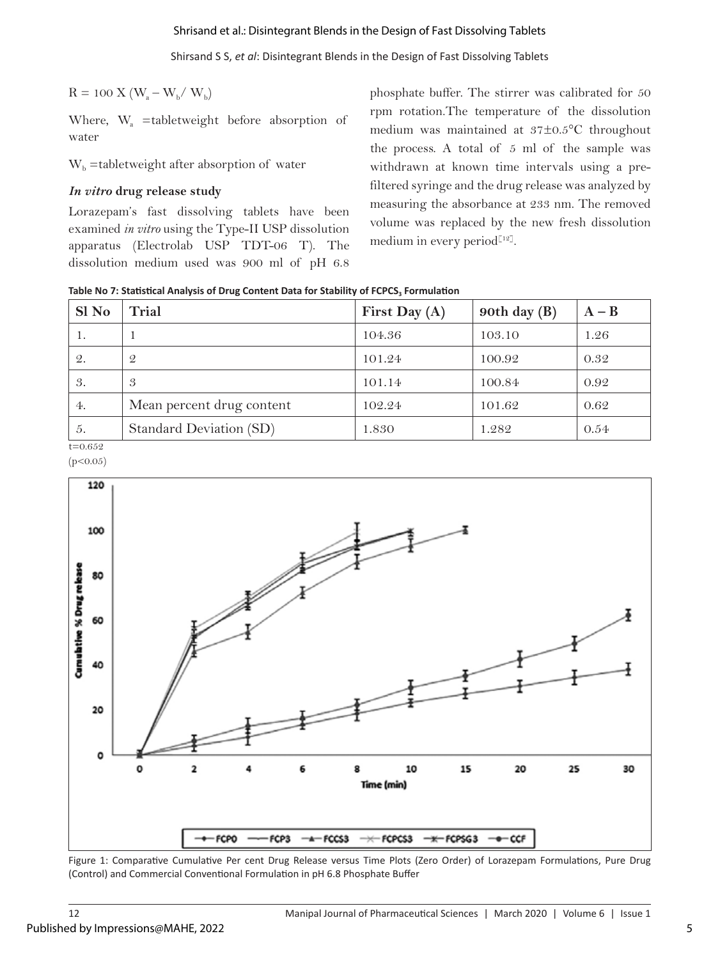#### Shrisand et al.: Disintegrant Blends in the Design of Fast Dissolving Tablets

Shirsand S S, *et al*: Disintegrant Blends in the Design of Fast Dissolving Tablets

 $R = 100$  X ( $W_a - W_b / W_b$ )

Where, W<sub>a</sub> =tabletweight before absorption of water

 $W<sub>b</sub>$  =tabletweight after absorption of water

#### *In vitro* **drug release study**

Lorazepam's fast dissolving tablets have been examined *in vitro* using the Type-II USP dissolution apparatus (Electrolab USP TDT-06 T). The dissolution medium used was 900 ml of pH 6.8 phosphate buffer. The stirrer was calibrated for 50 rpm rotation.The temperature of the dissolution medium was maintained at 37±0.5°C throughout the process. A total of 5 ml of the sample was withdrawn at known time intervals using a prefiltered syringe and the drug release was analyzed by measuring the absorbance at 233 nm. The removed volume was replaced by the new fresh dissolution medium in every period $[12]$ .

**Table No 7: Statistical Analysis of Drug Content Data for Stability of FCPCS3 Formulation**

| Sl No       | Trial                     | First Day $(A)$ | 90th day $(B)$ | $A - B$ |
|-------------|---------------------------|-----------------|----------------|---------|
| 1.          |                           | 104.36          | 103.10         | 1.26    |
| 2.          | $\mathcal{Q}$             | 101.24          | 100.92         | 0.32    |
| 3.          | 3                         | 101.14          | 100.84         | 0.92    |
| 4.          | Mean percent drug content | 102.24          | 101.62         | 0.62    |
| 5.          | Standard Deviation (SD)   | 1.830           | 1.282          | 0.54    |
| $t = 0.652$ |                           |                 |                |         |

 $(p<0.05)$ 



Figure 1: Comparative Cumulative Per cent Drug Release versus Time Plots (Zero Order) of Lorazepam Formulations, Pure Drug (Control) and Commercial Conventional Formulation in pH 6.8 Phosphate Buffer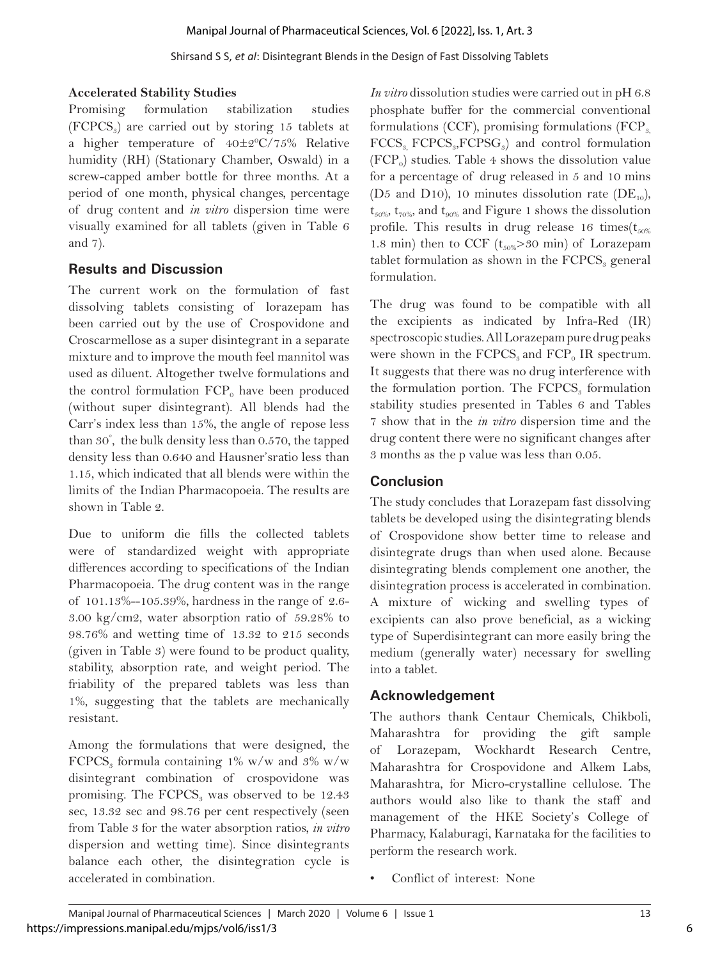### **Accelerated Stability Studies**

Promising formulation stabilization studies  $(FCPCS<sub>s</sub>)$  are carried out by storing 15 tablets at a higher temperature of  $40\pm 2\degree C/75\%$  Relative humidity (RH) (Stationary Chamber, Oswald) in a screw-capped amber bottle for three months. At a period of one month, physical changes, percentage of drug content and *in vitro* dispersion time were visually examined for all tablets (given in Table 6 and 7).

# **Results and Discussion**

The current work on the formulation of fast dissolving tablets consisting of lorazepam has been carried out by the use of Crospovidone and Croscarmellose as a super disintegrant in a separate mixture and to improve the mouth feel mannitol was used as diluent. Altogether twelve formulations and the control formulation  $FCP_0$  have been produced (without super disintegrant). All blends had the Carr's index less than 15%, the angle of repose less than 30° , the bulk density less than 0.570, the tapped density less than 0.640 and Hausner'sratio less than 1.15, which indicated that all blends were within the limits of the Indian Pharmacopoeia. The results are shown in Table 2.

Due to uniform die fills the collected tablets were of standardized weight with appropriate differences according to specifications of the Indian Pharmacopoeia. The drug content was in the range of 101.13%--105.39%, hardness in the range of 2.6- 3.00 kg/cm2, water absorption ratio of 59.28% to 98.76% and wetting time of 13.32 to 215 seconds (given in Table 3) were found to be product quality, stability, absorption rate, and weight period. The friability of the prepared tablets was less than 1%, suggesting that the tablets are mechanically resistant.

Among the formulations that were designed, the FCPCS<sub>3</sub> formula containing 1% w/w and 3% w/w disintegrant combination of crospovidone was promising. The  $FCPCS<sub>3</sub>$  was observed to be 12.43 sec, 13.32 sec and 98.76 per cent respectively (seen from Table 3 for the water absorption ratios, *in vitro*  dispersion and wetting time). Since disintegrants balance each other, the disintegration cycle is accelerated in combination.

*In vitro* dissolution studies were carried out in pH 6.8 phosphate buffer for the commercial conventional formulations (CCF), promising formulations  $\text{[FCP}_{3}$ ,  $FCCS<sub>s</sub> FCPCS<sub>s</sub>, FCPSG<sub>s</sub>$ ) and control formulation  $(FCP<sub>0</sub>)$  studies. Table 4 shows the dissolution value for a percentage of drug released in 5 and 10 mins (D5 and D10), 10 minutes dissolution rate (DE<sub>10</sub>),  $t_{50\%}$ ,  $t_{70\%}$ , and  $t_{90\%}$  and Figure 1 shows the dissolution profile. This results in drug release 16 times( $t_{50\%}$ 1.8 min) then to CCF ( $t_{50\%}$ >30 min) of Lorazepam tablet formulation as shown in the  $FCPCS<sub>s</sub>$  general formulation.

The drug was found to be compatible with all the excipients as indicated by Infra-Red (IR) spectroscopic studies. All Lorazepam pure drug peaks were shown in the  $FCPCS<sub>s</sub>$  and  $FCP<sub>o</sub>$  IR spectrum. It suggests that there was no drug interference with the formulation portion. The  $FCPCS<sub>s</sub>$  formulation stability studies presented in Tables 6 and Tables 7 show that in the *in vitro* dispersion time and the drug content there were no significant changes after 3 months as the p value was less than 0.05.

# **Conclusion**

The study concludes that Lorazepam fast dissolving tablets be developed using the disintegrating blends of Crospovidone show better time to release and disintegrate drugs than when used alone. Because disintegrating blends complement one another, the disintegration process is accelerated in combination. A mixture of wicking and swelling types of excipients can also prove beneficial, as a wicking type of Superdisintegrant can more easily bring the medium (generally water) necessary for swelling into a tablet.

# **Acknowledgement**

The authors thank Centaur Chemicals, Chikboli, Maharashtra for providing the gift sample of Lorazepam, Wockhardt Research Centre, Maharashtra for Crospovidone and Alkem Labs, Maharashtra, for Micro-crystalline cellulose. The authors would also like to thank the staff and management of the HKE Society's College of Pharmacy, Kalaburagi, Karnataka for the facilities to perform the research work.

Conflict of interest: None